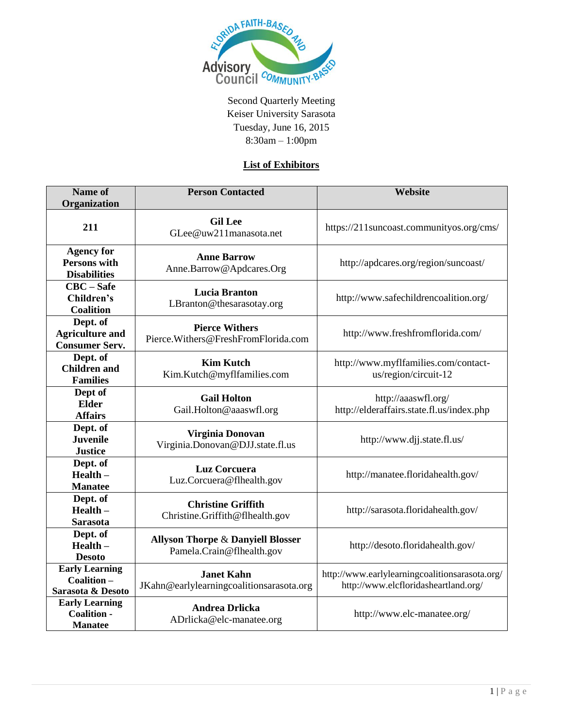

Second Quarterly Meeting Keiser University Sarasota Tuesday, June 16, 2015 8:30am – 1:00pm

## **List of Exhibitors**

| <b>Name of</b>                                                  | <b>Person Contacted</b>                                                   | Website                                                                                |
|-----------------------------------------------------------------|---------------------------------------------------------------------------|----------------------------------------------------------------------------------------|
| Organization                                                    |                                                                           |                                                                                        |
| 211                                                             | <b>Gil Lee</b><br>GLee@uw211manasota.net                                  | https://211suncoast.communityos.org/cms/                                               |
| <b>Agency for</b><br><b>Persons with</b><br><b>Disabilities</b> | <b>Anne Barrow</b><br>Anne.Barrow@Apdcares.Org                            | http://apdcares.org/region/suncoast/                                                   |
| $CBC - Safe$<br>Children's<br><b>Coalition</b>                  | <b>Lucia Branton</b><br>LBranton@thesarasotay.org                         | http://www.safechildrencoalition.org/                                                  |
| Dept. of<br><b>Agriculture and</b><br><b>Consumer Serv.</b>     | <b>Pierce Withers</b><br>Pierce. Withers@FreshFromFlorida.com             | http://www.freshfromflorida.com/                                                       |
| Dept. of<br><b>Children</b> and<br><b>Families</b>              | <b>Kim Kutch</b><br>Kim.Kutch@myflfamilies.com                            | http://www.myflfamilies.com/contact-<br>us/region/circuit-12                           |
| Dept of<br><b>Elder</b><br><b>Affairs</b>                       | <b>Gail Holton</b><br>Gail.Holton@aaaswfl.org                             | http://aaaswfl.org/<br>http://elderaffairs.state.fl.us/index.php                       |
| Dept. of<br><b>Juvenile</b><br><b>Justice</b>                   | Virginia Donovan<br>Virginia.Donovan@DJJ.state.fl.us                      | http://www.djj.state.fl.us/                                                            |
| Dept. of<br>$Health -$<br><b>Manatee</b>                        | Luz Corcuera<br>Luz.Corcuera@flhealth.gov                                 | http://manatee.floridahealth.gov/                                                      |
| Dept. of<br>$Health -$<br><b>Sarasota</b>                       | <b>Christine Griffith</b><br>Christine.Griffith@flhealth.gov              | http://sarasota.floridahealth.gov/                                                     |
| Dept. of<br>$Health -$<br><b>Desoto</b>                         | <b>Allyson Thorpe &amp; Danyiell Blosser</b><br>Pamela.Crain@flhealth.gov | http://desoto.floridahealth.gov/                                                       |
| <b>Early Learning</b><br>Coalition-<br>Sarasota & Desoto        | <b>Janet Kahn</b><br>JKahn@earlylearningcoalitionsarasota.org             | http://www.earlylearningcoalitionsarasota.org/<br>http://www.elcfloridasheartland.org/ |
| <b>Early Learning</b><br><b>Coalition -</b><br><b>Manatee</b>   | <b>Andrea Drlicka</b><br>ADrlicka@elc-manatee.org                         | http://www.elc-manatee.org/                                                            |